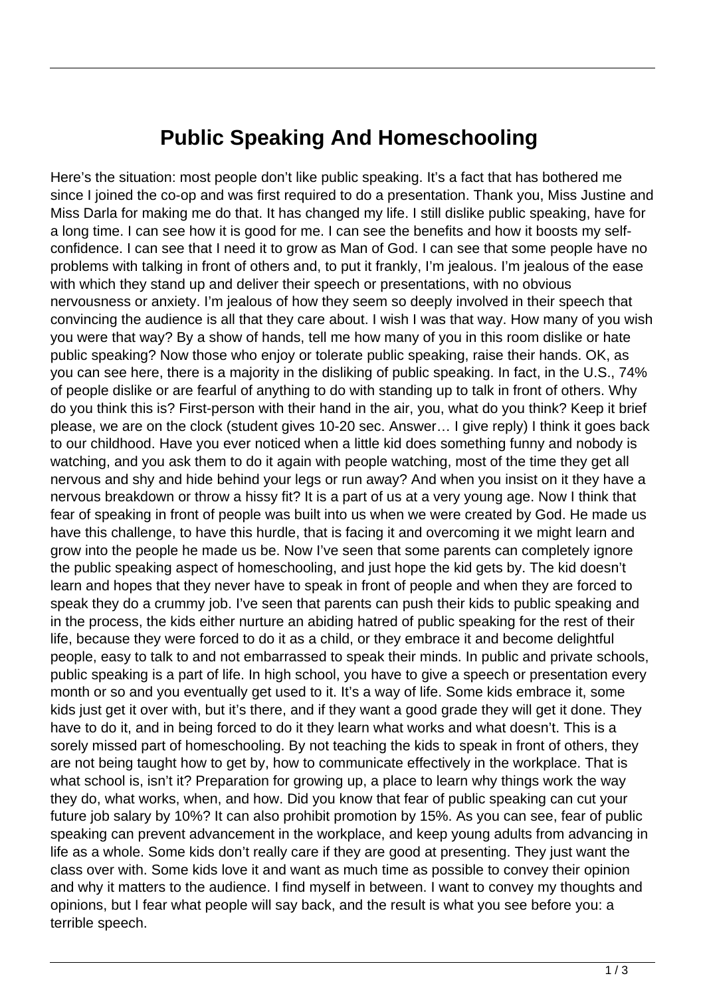## **Public Speaking And Homeschooling**

Here's the situation: most people don't like public speaking. It's a fact that has bothered me since I joined the co-op and was first required to do a presentation. Thank you, Miss Justine and Miss Darla for making me do that. It has changed my life. I still dislike public speaking, have for a long time. I can see how it is good for me. I can see the benefits and how it boosts my selfconfidence. I can see that I need it to grow as Man of God. I can see that some people have no problems with talking in front of others and, to put it frankly, I'm jealous. I'm jealous of the ease with which they stand up and deliver their speech or presentations, with no obvious nervousness or anxiety. I'm jealous of how they seem so deeply involved in their speech that convincing the audience is all that they care about. I wish I was that way. How many of you wish you were that way? By a show of hands, tell me how many of you in this room dislike or hate public speaking? Now those who enjoy or tolerate public speaking, raise their hands. OK, as you can see here, there is a majority in the disliking of public speaking. In fact, in the U.S., 74% of people dislike or are fearful of anything to do with standing up to talk in front of others. Why do you think this is? First-person with their hand in the air, you, what do you think? Keep it brief please, we are on the clock (student gives 10-20 sec. Answer… I give reply) I think it goes back to our childhood. Have you ever noticed when a little kid does something funny and nobody is watching, and you ask them to do it again with people watching, most of the time they get all nervous and shy and hide behind your legs or run away? And when you insist on it they have a nervous breakdown or throw a hissy fit? It is a part of us at a very young age. Now I think that fear of speaking in front of people was built into us when we were created by God. He made us have this challenge, to have this hurdle, that is facing it and overcoming it we might learn and grow into the people he made us be. Now I've seen that some parents can completely ignore the public speaking aspect of homeschooling, and just hope the kid gets by. The kid doesn't learn and hopes that they never have to speak in front of people and when they are forced to speak they do a crummy job. I've seen that parents can push their kids to public speaking and in the process, the kids either nurture an abiding hatred of public speaking for the rest of their life, because they were forced to do it as a child, or they embrace it and become delightful people, easy to talk to and not embarrassed to speak their minds. In public and private schools, public speaking is a part of life. In high school, you have to give a speech or presentation every month or so and you eventually get used to it. It's a way of life. Some kids embrace it, some kids just get it over with, but it's there, and if they want a good grade they will get it done. They have to do it, and in being forced to do it they learn what works and what doesn't. This is a sorely missed part of homeschooling. By not teaching the kids to speak in front of others, they are not being taught how to get by, how to communicate effectively in the workplace. That is what school is, isn't it? Preparation for growing up, a place to learn why things work the way they do, what works, when, and how. Did you know that fear of public speaking can cut your future job salary by 10%? It can also prohibit promotion by 15%. As you can see, fear of public speaking can prevent advancement in the workplace, and keep young adults from advancing in life as a whole. Some kids don't really care if they are good at presenting. They just want the class over with. Some kids love it and want as much time as possible to convey their opinion and why it matters to the audience. I find myself in between. I want to convey my thoughts and opinions, but I fear what people will say back, and the result is what you see before you: a terrible speech.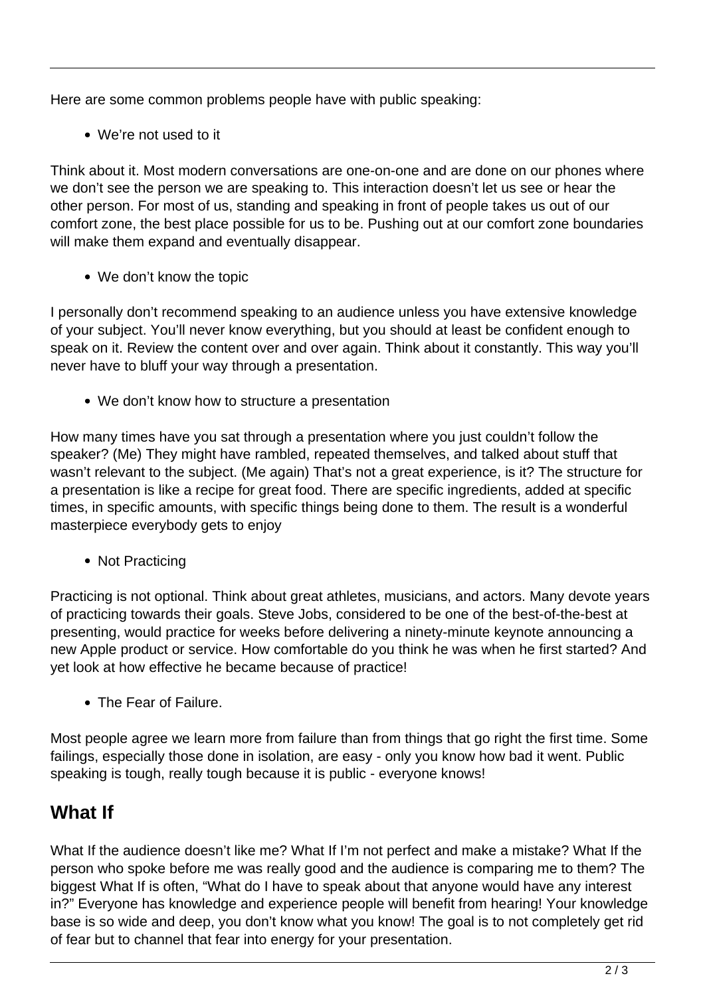Here are some common problems people have with public speaking:

We're not used to it

Think about it. Most modern conversations are one-on-one and are done on our phones where we don't see the person we are speaking to. This interaction doesn't let us see or hear the other person. For most of us, standing and speaking in front of people takes us out of our comfort zone, the best place possible for us to be. Pushing out at our comfort zone boundaries will make them expand and eventually disappear.

We don't know the topic

I personally don't recommend speaking to an audience unless you have extensive knowledge of your subject. You'll never know everything, but you should at least be confident enough to speak on it. Review the content over and over again. Think about it constantly. This way you'll never have to bluff your way through a presentation.

We don't know how to structure a presentation

How many times have you sat through a presentation where you just couldn't follow the speaker? (Me) They might have rambled, repeated themselves, and talked about stuff that wasn't relevant to the subject. (Me again) That's not a great experience, is it? The structure for a presentation is like a recipe for great food. There are specific ingredients, added at specific times, in specific amounts, with specific things being done to them. The result is a wonderful masterpiece everybody gets to enjoy

• Not Practicing

Practicing is not optional. Think about great athletes, musicians, and actors. Many devote years of practicing towards their goals. Steve Jobs, considered to be one of the best-of-the-best at presenting, would practice for weeks before delivering a ninety-minute keynote announcing a new Apple product or service. How comfortable do you think he was when he first started? And yet look at how effective he became because of practice!

• The Fear of Failure.

Most people agree we learn more from failure than from things that go right the first time. Some failings, especially those done in isolation, are easy - only you know how bad it went. Public speaking is tough, really tough because it is public - everyone knows!

## **What If**

What If the audience doesn't like me? What If I'm not perfect and make a mistake? What If the person who spoke before me was really good and the audience is comparing me to them? The biggest What If is often, "What do I have to speak about that anyone would have any interest in?" Everyone has knowledge and experience people will benefit from hearing! Your knowledge base is so wide and deep, you don't know what you know! The goal is to not completely get rid of fear but to channel that fear into energy for your presentation.